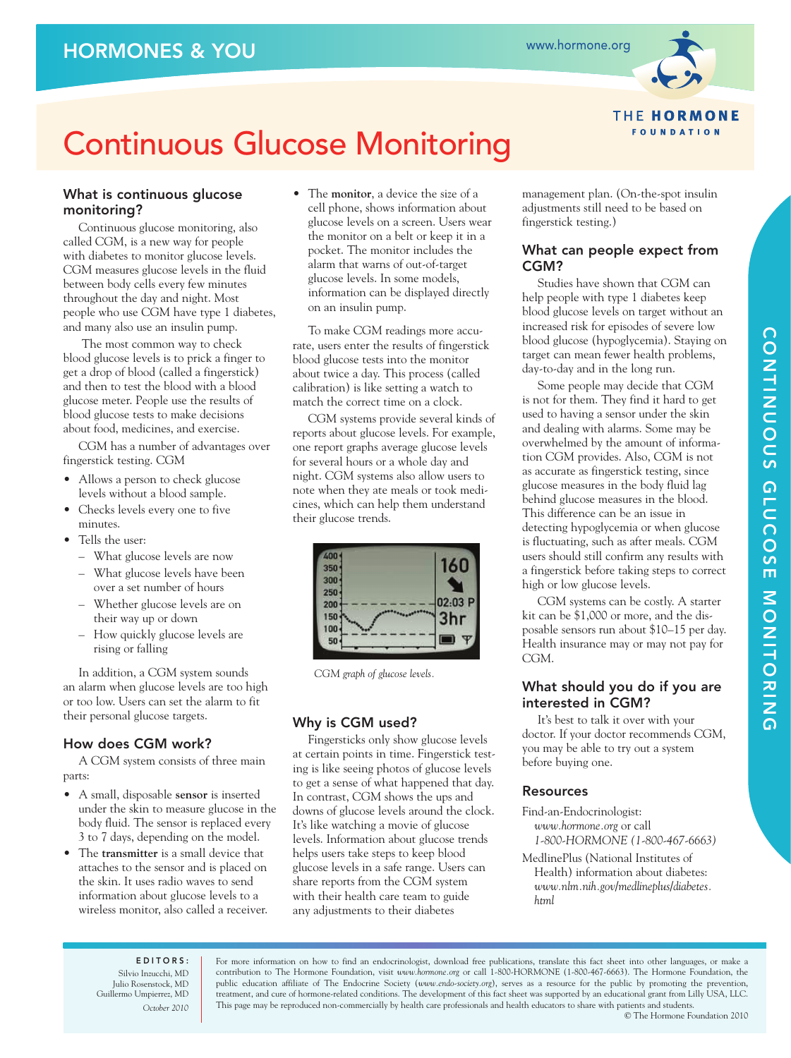

## **THE HORMONE FOUNDATION**

# Continuous Glucose Monitoring

## What is continuous glucose monitoring?

Continuous glucose monitoring, also called CGM, is a new way for people with diabetes to monitor glucose levels. CGM measures glucose levels in the fluid between body cells every few minutes throughout the day and night. Most people who use CGM have type 1 diabetes, and many also use an insulin pump.

The most common way to check blood glucose levels is to prick a finger to get a drop of blood (called a fingerstick) and then to test the blood with a blood glucose meter. People use the results of blood glucose tests to make decisions about food, medicines, and exercise.

CGM has a number of advantages over fingerstick testing. CGM

- Allows a person to check glucose levels without a blood sample.
- Checks levels every one to five minutes.
- Tells the user:
	- What glucose levels are now
	- What glucose levels have been over a set number of hours
	- Whether glucose levels are on their way up or down
	- How quickly glucose levels are rising or falling

In addition, a CGM system sounds an alarm when glucose levels are too high or too low. Users can set the alarm to fit their personal glucose targets.

## How does CGM work?

A CGM system consists of three main parts:

- A small, disposable **sensor** is inserted under the skin to measure glucose in the body fluid. The sensor is replaced every 3 to 7 days, depending on the model.
- The **transmitter** is a small device that attaches to the sensor and is placed on the skin. It uses radio waves to send information about glucose levels to a wireless monitor, also called a receiver.

• The **monitor**, a device the size of a cell phone, shows information about glucose levels on a screen. Users wear the monitor on a belt or keep it in a pocket. The monitor includes the alarm that warns of out-of-target glucose levels. In some models, information can be displayed directly on an insulin pump.

To make CGM readings more accurate, users enter the results of fingerstick blood glucose tests into the monitor about twice a day. This process (called calibration) is like setting a watch to match the correct time on a clock.

CGM systems provide several kinds of reports about glucose levels. For example, one report graphs average glucose levels for several hours or a whole day and night. CGM systems also allow users to note when they ate meals or took medicines, which can help them understand their glucose trends.

| 400 |         |
|-----|---------|
| 350 | 160     |
| 300 |         |
| 250 |         |
| 200 | 02:03 P |
| 150 | 3hr     |
| 100 |         |
| 50  |         |

*CGM graph of glucose levels.*

## Why is CGM used?

Fingersticks only show glucose levels at certain points in time. Fingerstick testing is like seeing photos of glucose levels to get a sense of what happened that day. In contrast, CGM shows the ups and downs of glucose levels around the clock. It's like watching a movie of glucose levels. Information about glucose trends helps users take steps to keep blood glucose levels in a safe range. Users can share reports from the CGM system with their health care team to guide any adjustments to their diabetes

management plan. (On-the-spot insulin adjustments still need to be based on fingerstick testing.)

## What can people expect from CGM?

Studies have shown that CGM can help people with type 1 diabetes keep blood glucose levels on target without an increased risk for episodes of severe low blood glucose (hypoglycemia). Staying on target can mean fewer health problems, day-to-day and in the long run.

Some people may decide that CGM is not for them. They find it hard to get used to having a sensor under the skin and dealing with alarms. Some may be overwhelmed by the amount of information CGM provides. Also, CGM is not as accurate as fingerstick testing, since glucose measures in the body fluid lag behind glucose measures in the blood. This difference can be an issue in detecting hypoglycemia or when glucose is fluctuating, such as after meals. CGM users should still confirm any results with a fingerstick before taking steps to correct high or low glucose levels.

CGM systems can be costly. A starter kit can be \$1,000 or more, and the disposable sensors run about \$10–15 per day. Health insurance may or may not pay for CGM.

## What should you do if you are interested in CGM?

It's best to talk it over with your doctor. If your doctor recommends CGM, you may be able to try out a system before buying one.

## Resources

Find-an-Endocrinologist: *www.hormone.org* or call *1-800-HORMONE (1-800-467-6663)*

MedlinePlus (National Institutes of Health) information about diabetes: *www.nlm.nih.gov/medlineplus/diabetes. html*

CONTINUOUS GLUCOSE MONITORING CONTINUOUS GLUCOSE MONITORING

EDITORS: Silvio Inzucchi, MD Julio Rosenstock, MD Guillermo Umpierrez, MD *October 2010*

For more information on how to find an endocrinologist, download free publications, translate this fact sheet into other languages, or make a contribution to The Hormone Foundation, visit *www.hormone.org* or call 1-800-HORMONE (1-800-467-6663). The Hormone Foundation, the public education affiliate of The Endocrine Society (*www.endo-society.org*), serves as a resource for the public by promoting the prevention, treatment, and cure of hormone-related conditions. The development of this fact sheet was supported by an educational grant from Lilly USA, LLC. This page may be reproduced non-commercially by health care professionals and health educators to share with patients and students.